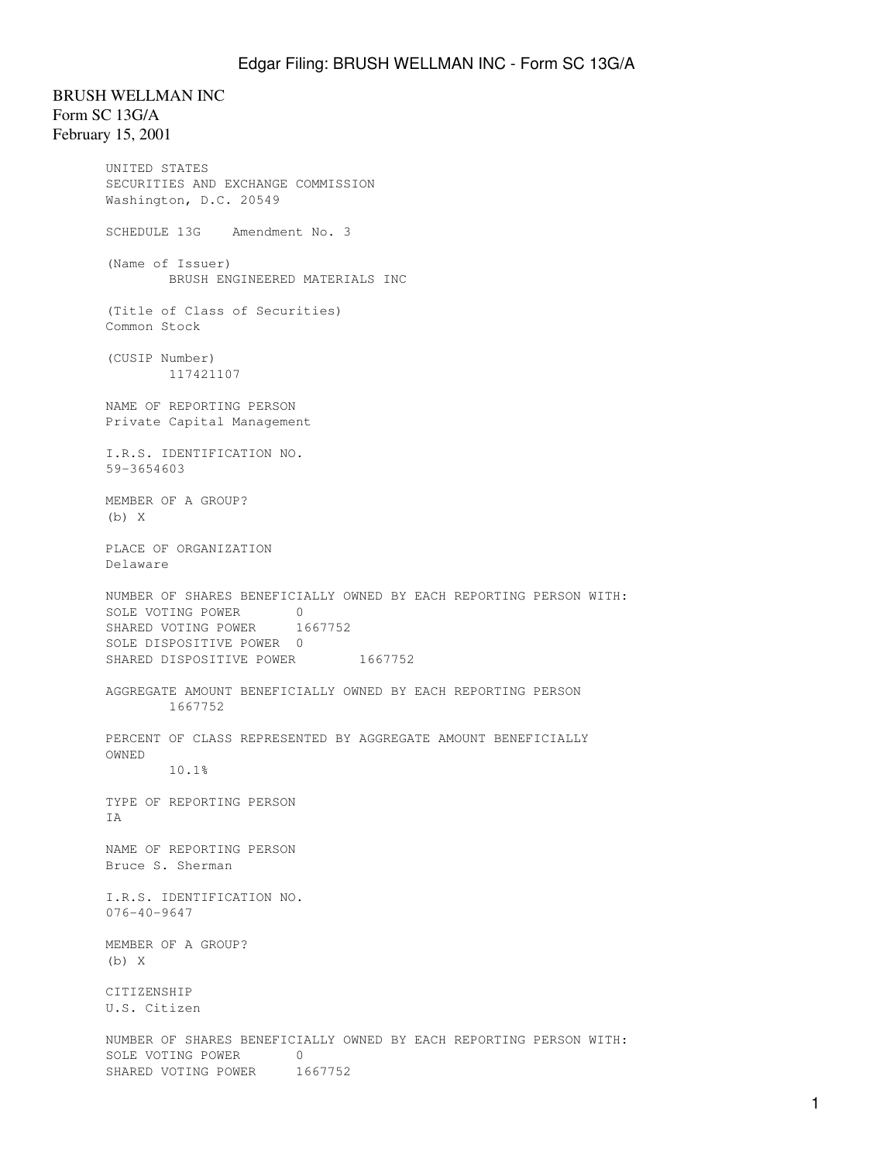BRUSH WELLMAN INC Form SC 13G/A February 15, 2001 UNITED STATES SECURITIES AND EXCHANGE COMMISSION Washington, D.C. 20549 SCHEDULE 13G Amendment No. 3 (Name of Issuer) BRUSH ENGINEERED MATERIALS INC (Title of Class of Securities) Common Stock (CUSIP Number) 117421107 NAME OF REPORTING PERSON Private Capital Management I.R.S. IDENTIFICATION NO. 59-3654603 MEMBER OF A GROUP? (b) X PLACE OF ORGANIZATION Delaware NUMBER OF SHARES BENEFICIALLY OWNED BY EACH REPORTING PERSON WITH: SOLE VOTING POWER 0 SHARED VOTING POWER 1667752 SOLE DISPOSITIVE POWER 0 SHARED DISPOSITIVE POWER 1667752 AGGREGATE AMOUNT BENEFICIALLY OWNED BY EACH REPORTING PERSON 1667752 PERCENT OF CLASS REPRESENTED BY AGGREGATE AMOUNT BENEFICIALLY OWNED 10.1% TYPE OF REPORTING PERSON IA NAME OF REPORTING PERSON Bruce S. Sherman I.R.S. IDENTIFICATION NO. 076-40-9647 MEMBER OF A GROUP? (b) X CITIZENSHIP U.S. Citizen NUMBER OF SHARES BENEFICIALLY OWNED BY EACH REPORTING PERSON WITH: SOLE VOTING POWER 0 SHARED VOTING POWER 1667752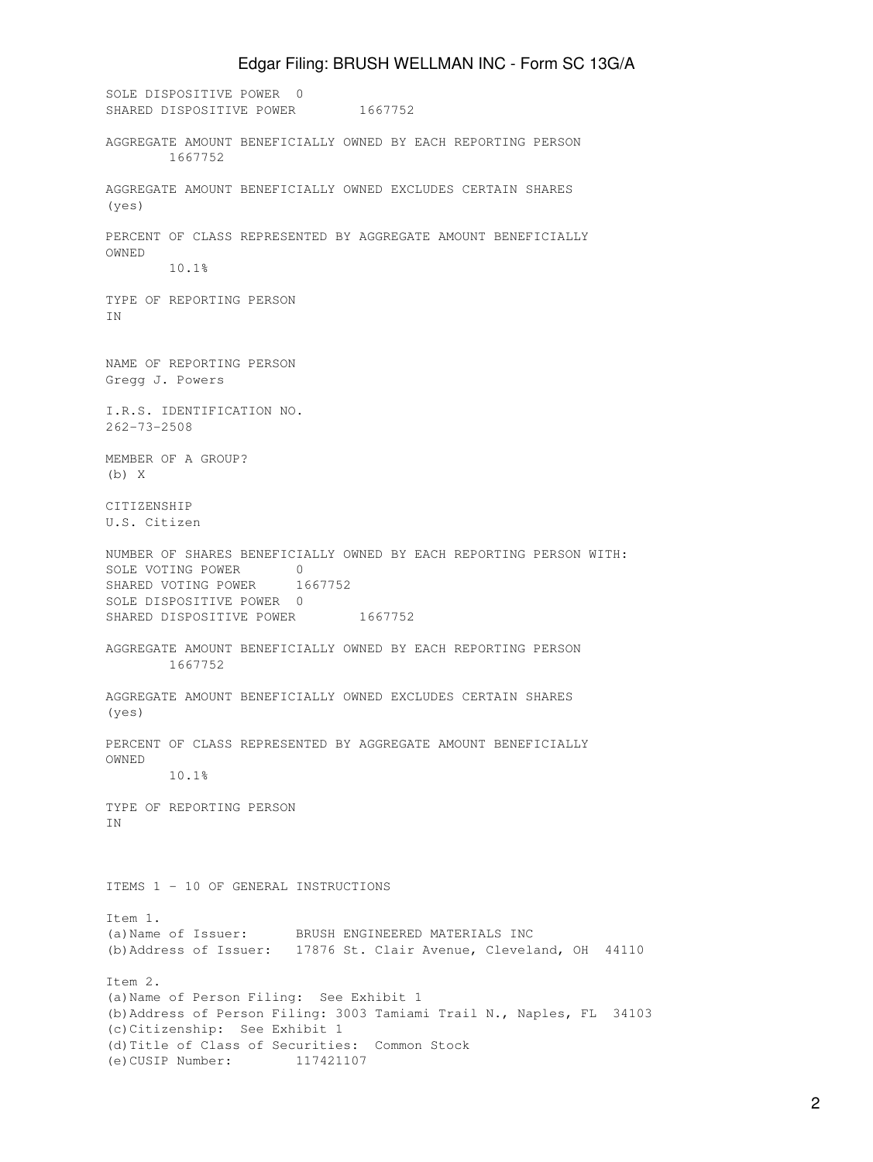## Edgar Filing: BRUSH WELLMAN INC - Form SC 13G/A

SOLE DISPOSITIVE POWER 0 SHARED DISPOSITIVE POWER 1667752 AGGREGATE AMOUNT BENEFICIALLY OWNED BY EACH REPORTING PERSON 1667752 AGGREGATE AMOUNT BENEFICIALLY OWNED EXCLUDES CERTAIN SHARES (yes) PERCENT OF CLASS REPRESENTED BY AGGREGATE AMOUNT BENEFICIALLY OWNED 10.1% TYPE OF REPORTING PERSON IN NAME OF REPORTING PERSON Gregg J. Powers I.R.S. IDENTIFICATION NO. 262-73-2508 MEMBER OF A GROUP? (b) X CITIZENSHIP U.S. Citizen NUMBER OF SHARES BENEFICIALLY OWNED BY EACH REPORTING PERSON WITH: SOLE VOTING POWER 0 SHARED VOTING POWER 1667752 SOLE DISPOSITIVE POWER 0 SHARED DISPOSITIVE POWER 1667752 AGGREGATE AMOUNT BENEFICIALLY OWNED BY EACH REPORTING PERSON 1667752 AGGREGATE AMOUNT BENEFICIALLY OWNED EXCLUDES CERTAIN SHARES (yes) PERCENT OF CLASS REPRESENTED BY AGGREGATE AMOUNT BENEFICIALLY OWNED 10.1% TYPE OF REPORTING PERSON IN ITEMS 1 - 10 OF GENERAL INSTRUCTIONS Item 1. (a)Name of Issuer: BRUSH ENGINEERED MATERIALS INC (b)Address of Issuer: 17876 St. Clair Avenue, Cleveland, OH 44110 Item 2. (a)Name of Person Filing: See Exhibit 1 (b)Address of Person Filing: 3003 Tamiami Trail N., Naples, FL 34103 (c)Citizenship: See Exhibit 1 (d)Title of Class of Securities: Common Stock (e)CUSIP Number: 117421107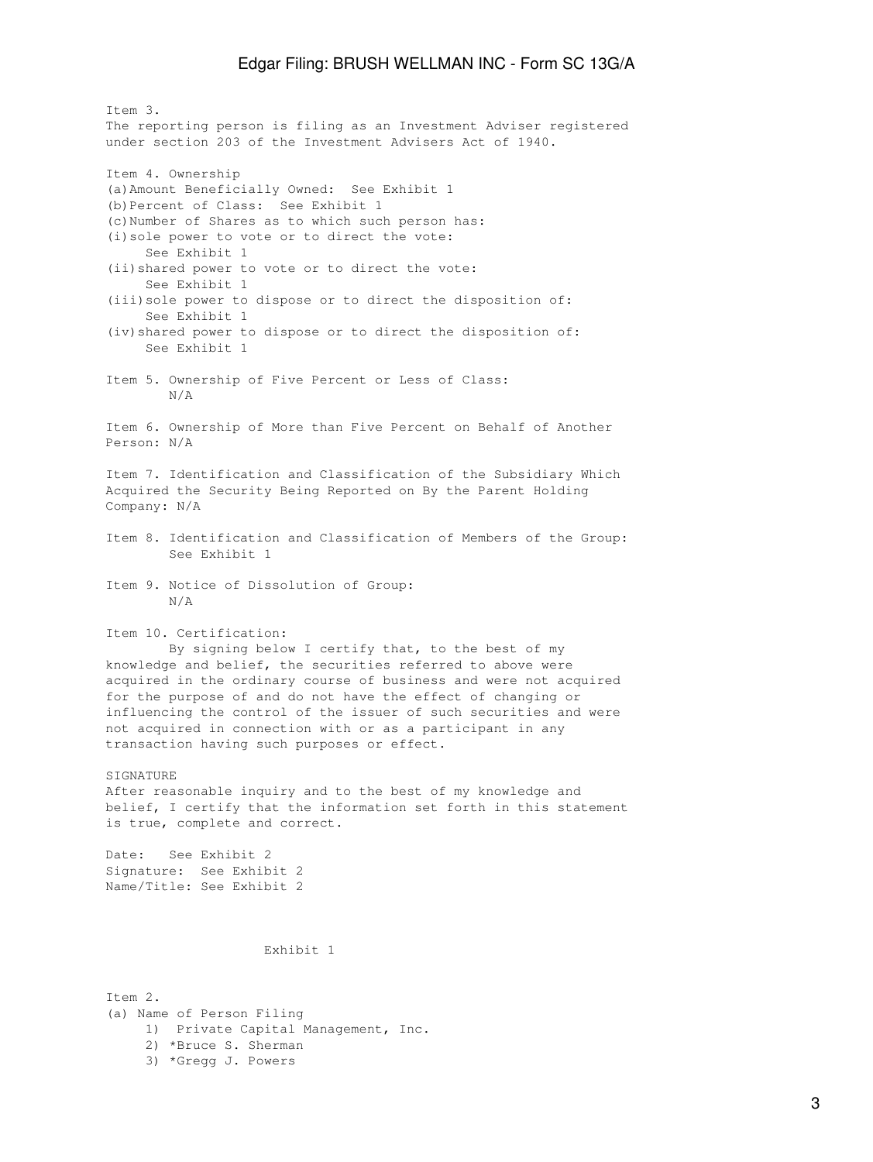Item 3. The reporting person is filing as an Investment Adviser registered under section 203 of the Investment Advisers Act of 1940. Item 4. Ownership (a)Amount Beneficially Owned: See Exhibit 1 (b)Percent of Class: See Exhibit 1 (c)Number of Shares as to which such person has: (i)sole power to vote or to direct the vote: See Exhibit 1 (ii)shared power to vote or to direct the vote: See Exhibit 1 (iii)sole power to dispose or to direct the disposition of: See Exhibit 1 (iv)shared power to dispose or to direct the disposition of: See Exhibit 1 Item 5. Ownership of Five Percent or Less of Class: N/A Item 6. Ownership of More than Five Percent on Behalf of Another Person: N/A Item 7. Identification and Classification of the Subsidiary Which Acquired the Security Being Reported on By the Parent Holding Company: N/A Item 8. Identification and Classification of Members of the Group: See Exhibit 1 Item 9. Notice of Dissolution of Group: N/A Item 10. Certification: By signing below I certify that, to the best of my knowledge and belief, the securities referred to above were acquired in the ordinary course of business and were not acquired for the purpose of and do not have the effect of changing or influencing the control of the issuer of such securities and were not acquired in connection with or as a participant in any transaction having such purposes or effect. SIGNATURE After reasonable inquiry and to the best of my knowledge and belief, I certify that the information set forth in this statement is true, complete and correct. Date: See Exhibit 2 Signature: See Exhibit 2 Name/Title: See Exhibit 2 Exhibit 1 Item 2. (a) Name of Person Filing 1) Private Capital Management, Inc.

- 2) \*Bruce S. Sherman
- 3) \*Gregg J. Powers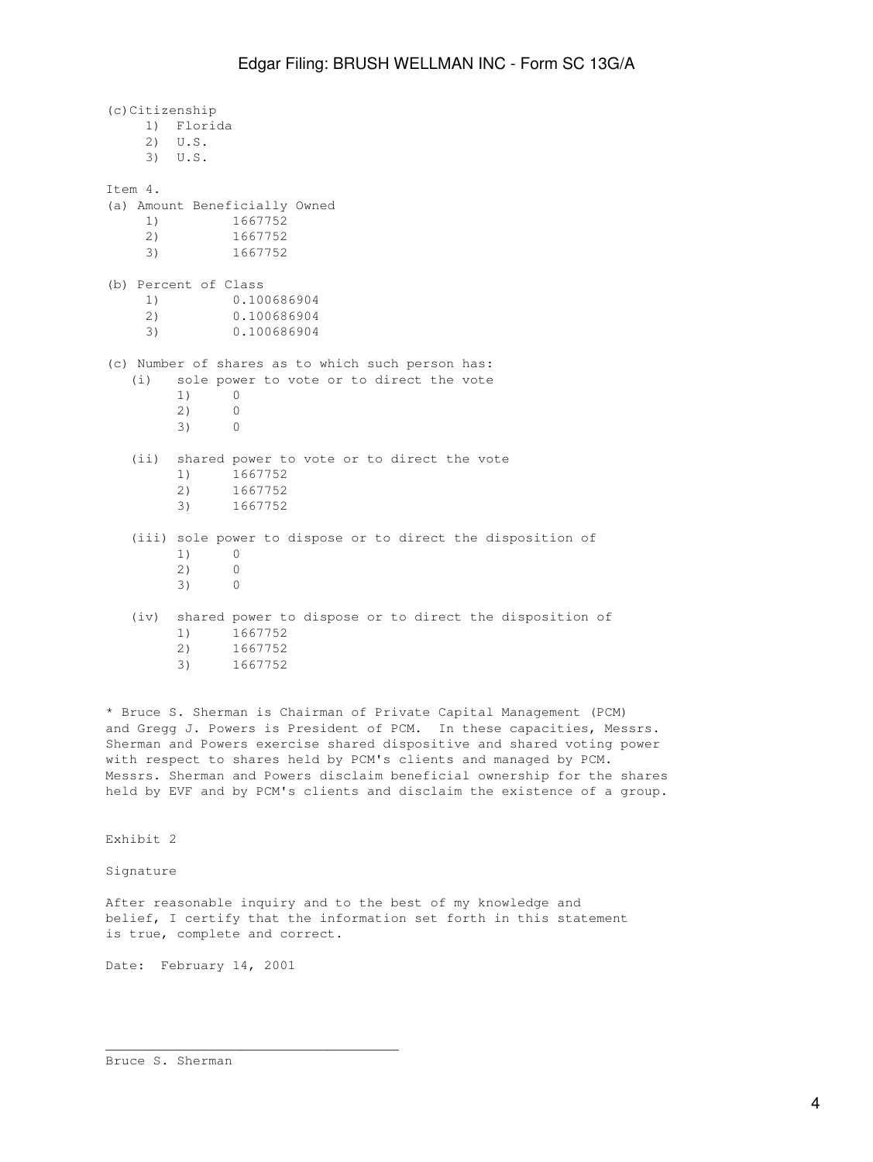(c)Citizenship 1) Florida 2) U.S. 3) U.S. Item 4. (a) Amount Beneficially Owned 1) 1667752 2) 1667752 3) 1667752 (b) Percent of Class 1) 0.100686904 2) 0.100686904 3) 0.100686904 (c) Number of shares as to which such person has: (i) sole power to vote or to direct the vote 1) 0 2) 0 3) 0 (ii) shared power to vote or to direct the vote 1) 1667752 2) 1667752 3) 1667752 (iii) sole power to dispose or to direct the disposition of 1) 0 2) 0 3) 0 (iv) shared power to dispose or to direct the disposition of 1) 1667752 2) 1667752 3) 1667752

\* Bruce S. Sherman is Chairman of Private Capital Management (PCM) and Gregg J. Powers is President of PCM. In these capacities, Messrs. Sherman and Powers exercise shared dispositive and shared voting power with respect to shares held by PCM's clients and managed by PCM. Messrs. Sherman and Powers disclaim beneficial ownership for the shares held by EVF and by PCM's clients and disclaim the existence of a group.

Exhibit 2

Signature

After reasonable inquiry and to the best of my knowledge and belief, I certify that the information set forth in this statement is true, complete and correct.

Date: February 14, 2001

\_\_\_\_\_\_\_\_\_\_\_\_\_\_\_\_\_\_\_\_\_\_\_\_\_\_\_\_\_\_\_\_\_\_\_\_\_

Bruce S. Sherman